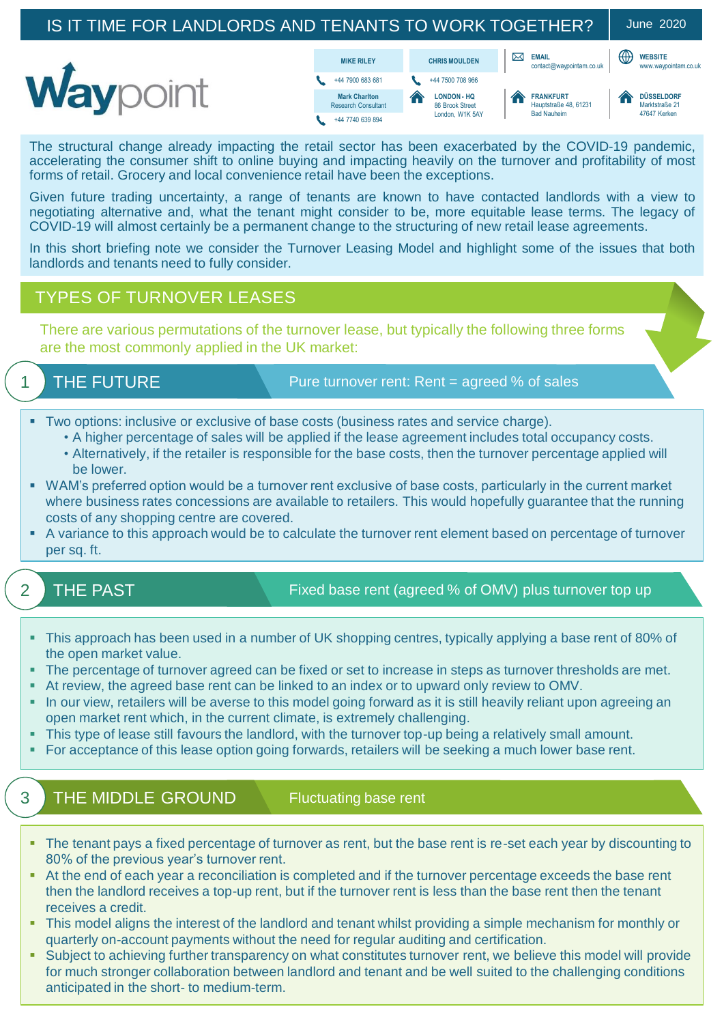#### IS IT TIME FOR LANDLORDS AND TENANTS TO WORK TOGETHER? | June 2020 **EMAIL WEBSITE CHRIS MOULDEN** MIKE RILEY **CHRIS MOULDEN** CHRIS MOULDEN **WEBSITE** Waypoint  $+44 7900 683 681$ +44 7500 708 966 **FRANKFURT LONDON - HQ DÜSSELDORF Mark Charlton** Research Consultant 86 Brook Street Hauptstraße 48, 61231 Marktetraße 21 47647 Kerken London, W1K 5AY Bad Nauheim +44 7740 639 894

The structural change already impacting the retail sector has been exacerbated by the COVID-19 pandemic, accelerating the consumer shift to online buying and impacting heavily on the turnover and profitability of most forms of retail. Grocery and local convenience retail have been the exceptions.

Given future trading uncertainty, a range of tenants are known to have contacted landlords with a view to negotiating alternative and, what the tenant might consider to be, more equitable lease terms. The legacy of COVID-19 will almost certainly be a permanent change to the structuring of new retail lease agreements.

In this short briefing note we consider the Turnover Leasing Model and highlight some of the issues that both landlords and tenants need to fully consider.

### TYPES OF TURNOVER LEASES

There are various permutations of the turnover lease, but typically the following three forms are the most commonly applied in the UK market:

# 1 THE FUTURE

Pure turnover rent: Rent = agreed % of sales

- Two options: inclusive or exclusive of base costs (business rates and service charge).
	- A higher percentage of sales will be applied if the lease agreement includes total occupancy costs.
	- Alternatively, if the retailer is responsible for the base costs, then the turnover percentage applied will be lower.
- WAM's preferred option would be a turnover rent exclusive of base costs, particularly in the current market where business rates concessions are available to retailers. This would hopefully guarantee that the running costs of any shopping centre are covered.
- A variance to this approach would be to calculate the turnover rent element based on percentage of turnover per sq. ft.

2 THE PAST

Fixed base rent (agreed % of OMV) plus turnover top up

- This approach has been used in a number of UK shopping centres, typically applying a base rent of 80% of the open market value.
- The percentage of turnover agreed can be fixed or set to increase in steps as turnover thresholds are met.
- At review, the agreed base rent can be linked to an index or to upward only review to OMV.
- **.** In our view, retailers will be averse to this model going forward as it is still heavily reliant upon agreeing an open market rent which, in the current climate, is extremely challenging.
- This type of lease still favours the landlord, with the turnover top-up being a relatively small amount.
- For acceptance of this lease option going forwards, retailers will be seeking a much lower base rent.

# 3 THE MIDDLE GROUND

Fluctuating base rent

- The tenant pays a fixed percentage of turnover as rent, but the base rent is re-set each year by discounting to 80% of the previous year's turnover rent.
- At the end of each year a reconciliation is completed and if the turnover percentage exceeds the base rent then the landlord receives a top-up rent, but if the turnover rent is less than the base rent then the tenant receives a credit.
- This model aligns the interest of the landlord and tenant whilst providing a simple mechanism for monthly or quarterly on-account payments without the need for regular auditing and certification.
- Subject to achieving further transparency on what constitutes turnover rent, we believe this model will provide for much stronger collaboration between landlord and tenant and be well suited to the challenging conditions anticipated in the short- to medium-term.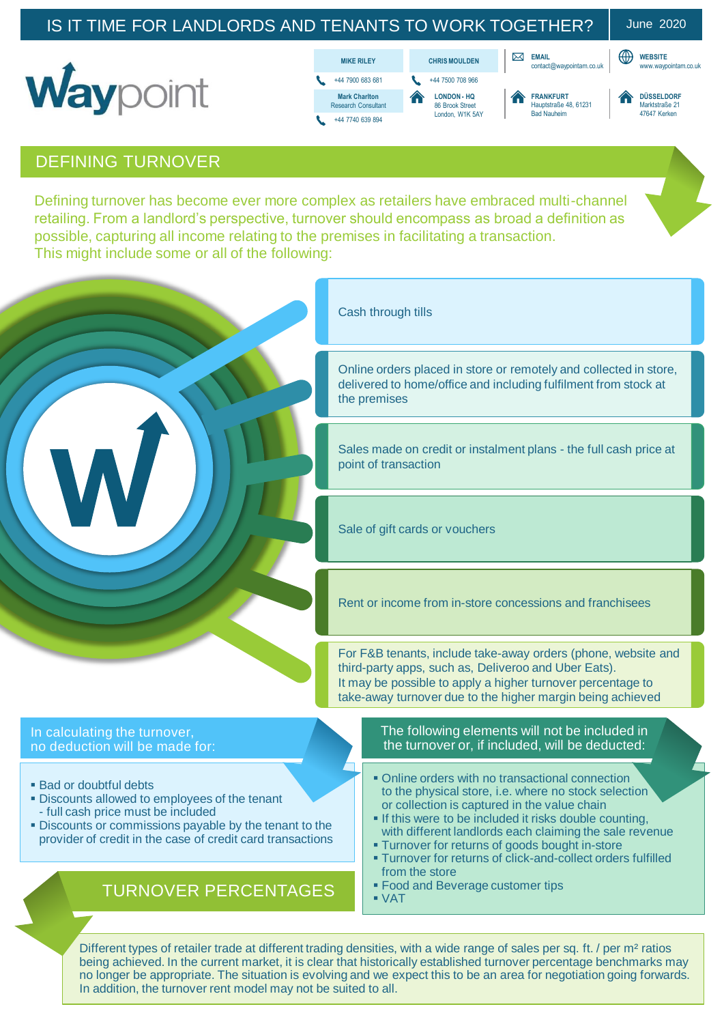# IS IT TIME FOR LANDLORDS AND TENANTS TO WORK TOGETHER? | June 2020

**WEBSITE**<br>www.wavoointam.co.uk







+44 7500 708 966 **LONDON - HQ** 86 Brook Stree London, W1K 5AY



**EMAIL**



#### DEFINING TURNOVER

Defining turnover has become ever more complex as retailers have embraced multi-channel retailing. From a landlord's perspective, turnover should encompass as broad a definition as possible, capturing all income relating to the premises in facilitating a transaction. This might include some or all of the following:



Different types of retailer trade at different trading densities, with a wide range of sales per sq. ft. / per m<sup>2</sup> ratios being achieved. In the current market, it is clear that historically established turnover percentage benchmarks may no longer be appropriate. The situation is evolving and we expect this to be an area for negotiation going forwards. In addition, the turnover rent model may not be suited to all.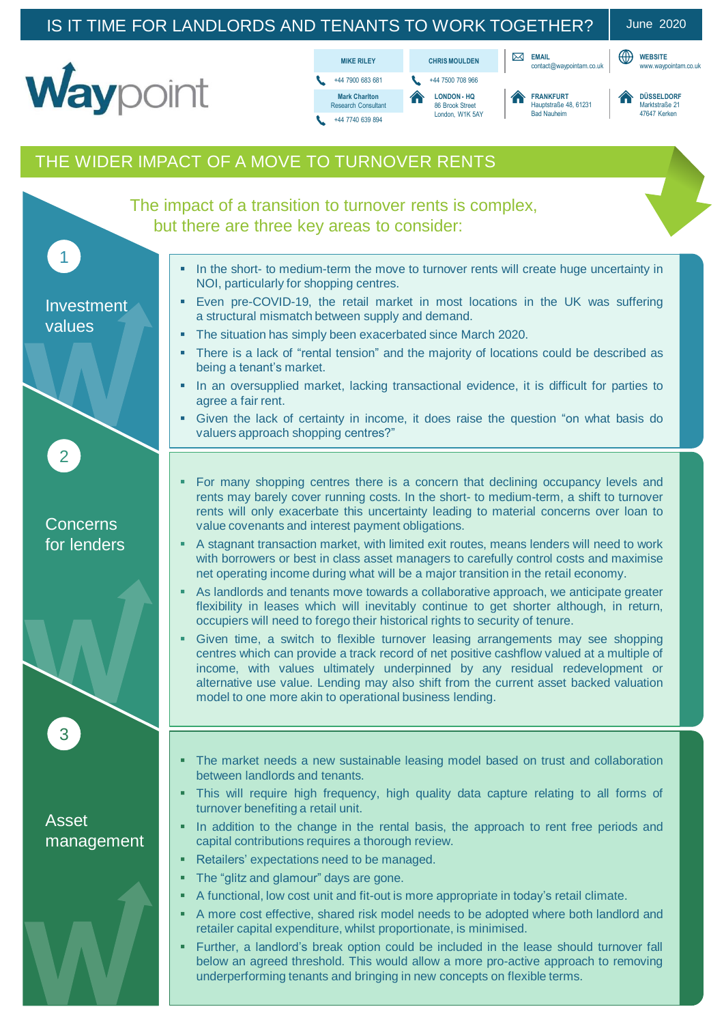# IS IT TIME FOR LANDLORDS AND TENANTS TO WORK TOGETHER? | June 2020

**WEBSITE**











**EMAIL**



# THE WIDER IMPACT OF A MOVE TO TURNOVER RENTS